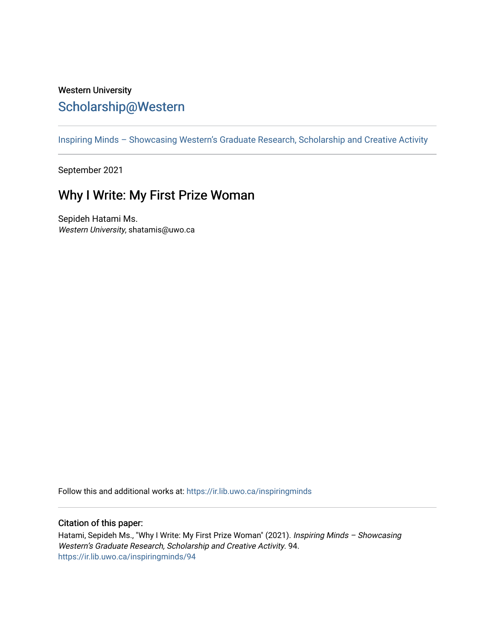## Western University [Scholarship@Western](https://ir.lib.uwo.ca/)

[Inspiring Minds – Showcasing Western's Graduate Research, Scholarship and Creative Activity](https://ir.lib.uwo.ca/inspiringminds) 

September 2021

## Why I Write: My First Prize Woman

Sepideh Hatami Ms. Western University, shatamis@uwo.ca

Follow this and additional works at: [https://ir.lib.uwo.ca/inspiringminds](https://ir.lib.uwo.ca/inspiringminds?utm_source=ir.lib.uwo.ca%2Finspiringminds%2F94&utm_medium=PDF&utm_campaign=PDFCoverPages) 

## Citation of this paper:

Hatami, Sepideh Ms., "Why I Write: My First Prize Woman" (2021). Inspiring Minds - Showcasing Western's Graduate Research, Scholarship and Creative Activity. 94. [https://ir.lib.uwo.ca/inspiringminds/94](https://ir.lib.uwo.ca/inspiringminds/94?utm_source=ir.lib.uwo.ca%2Finspiringminds%2F94&utm_medium=PDF&utm_campaign=PDFCoverPages)